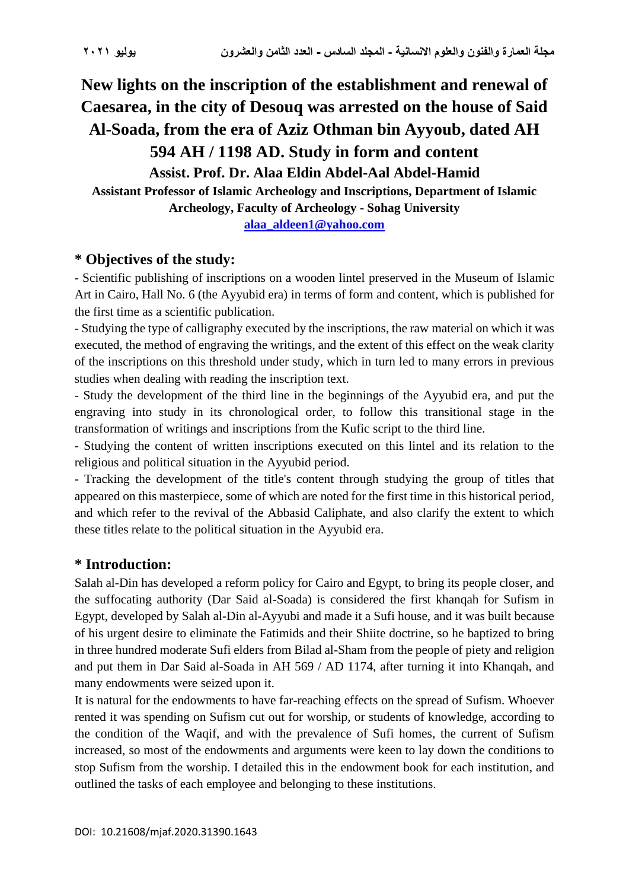**New lights on the inscription of the establishment and renewal of Caesarea, in the city of Desouq was arrested on the house of Said Al-Soada, from the era of Aziz Othman bin Ayyoub, dated AH** 

**594 AH / 1198 AD. Study in form and content Assist. Prof. Dr. Alaa Eldin Abdel-Aal Abdel-Hamid Assistant Professor of Islamic Archeology and Inscriptions, Department of Islamic Archeology, Faculty of Archeology - Sohag University**

**[alaa\\_aldeen1@yahoo.com](mailto:alaa_aldeen1@yahoo.com)**

# **\* Objectives of the study:**

- Scientific publishing of inscriptions on a wooden lintel preserved in the Museum of Islamic Art in Cairo, Hall No. 6 (the Ayyubid era) in terms of form and content, which is published for the first time as a scientific publication.

- Studying the type of calligraphy executed by the inscriptions, the raw material on which it was executed, the method of engraving the writings, and the extent of this effect on the weak clarity of the inscriptions on this threshold under study, which in turn led to many errors in previous studies when dealing with reading the inscription text.

- Study the development of the third line in the beginnings of the Ayyubid era, and put the engraving into study in its chronological order, to follow this transitional stage in the transformation of writings and inscriptions from the Kufic script to the third line.

- Studying the content of written inscriptions executed on this lintel and its relation to the religious and political situation in the Ayyubid period.

- Tracking the development of the title's content through studying the group of titles that appeared on this masterpiece, some of which are noted for the first time in this historical period, and which refer to the revival of the Abbasid Caliphate, and also clarify the extent to which these titles relate to the political situation in the Ayyubid era.

# **\* Introduction:**

Salah al-Din has developed a reform policy for Cairo and Egypt, to bring its people closer, and the suffocating authority (Dar Said al-Soada) is considered the first khanqah for Sufism in Egypt, developed by Salah al-Din al-Ayyubi and made it a Sufi house, and it was built because of his urgent desire to eliminate the Fatimids and their Shiite doctrine, so he baptized to bring in three hundred moderate Sufi elders from Bilad al-Sham from the people of piety and religion and put them in Dar Said al-Soada in AH 569 / AD 1174, after turning it into Khanqah, and many endowments were seized upon it.

It is natural for the endowments to have far-reaching effects on the spread of Sufism. Whoever rented it was spending on Sufism cut out for worship, or students of knowledge, according to the condition of the Waqif, and with the prevalence of Sufi homes, the current of Sufism increased, so most of the endowments and arguments were keen to lay down the conditions to stop Sufism from the worship. I detailed this in the endowment book for each institution, and outlined the tasks of each employee and belonging to these institutions.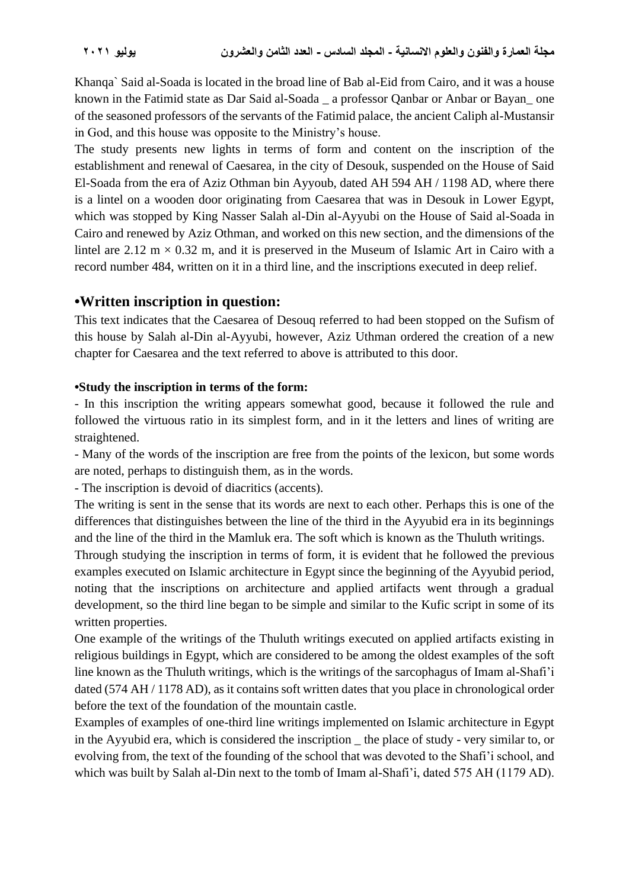Khanqa` Said al-Soada is located in the broad line of Bab al-Eid from Cairo, and it was a house known in the Fatimid state as Dar Said al-Soada a professor Qanbar or Anbar or Bayan one of the seasoned professors of the servants of the Fatimid palace, the ancient Caliph al-Mustansir in God, and this house was opposite to the Ministry's house.

The study presents new lights in terms of form and content on the inscription of the establishment and renewal of Caesarea, in the city of Desouk, suspended on the House of Said El-Soada from the era of Aziz Othman bin Ayyoub, dated AH 594 AH / 1198 AD, where there is a lintel on a wooden door originating from Caesarea that was in Desouk in Lower Egypt, which was stopped by King Nasser Salah al-Din al-Ayyubi on the House of Said al-Soada in Cairo and renewed by Aziz Othman, and worked on this new section, and the dimensions of the lintel are  $2.12 \text{ m} \times 0.32 \text{ m}$ , and it is preserved in the Museum of Islamic Art in Cairo with a record number 484, written on it in a third line, and the inscriptions executed in deep relief.

### **•Written inscription in question:**

This text indicates that the Caesarea of Desouq referred to had been stopped on the Sufism of this house by Salah al-Din al-Ayyubi, however, Aziz Uthman ordered the creation of a new chapter for Caesarea and the text referred to above is attributed to this door.

#### **•Study the inscription in terms of the form:**

- In this inscription the writing appears somewhat good, because it followed the rule and followed the virtuous ratio in its simplest form, and in it the letters and lines of writing are straightened.

- Many of the words of the inscription are free from the points of the lexicon, but some words are noted, perhaps to distinguish them, as in the words.

- The inscription is devoid of diacritics (accents).

The writing is sent in the sense that its words are next to each other. Perhaps this is one of the differences that distinguishes between the line of the third in the Ayyubid era in its beginnings and the line of the third in the Mamluk era. The soft which is known as the Thuluth writings.

Through studying the inscription in terms of form, it is evident that he followed the previous examples executed on Islamic architecture in Egypt since the beginning of the Ayyubid period, noting that the inscriptions on architecture and applied artifacts went through a gradual development, so the third line began to be simple and similar to the Kufic script in some of its written properties.

One example of the writings of the Thuluth writings executed on applied artifacts existing in religious buildings in Egypt, which are considered to be among the oldest examples of the soft line known as the Thuluth writings, which is the writings of the sarcophagus of Imam al-Shafi'i dated (574 AH / 1178 AD), as it contains soft written dates that you place in chronological order before the text of the foundation of the mountain castle.

Examples of examples of one-third line writings implemented on Islamic architecture in Egypt in the Ayyubid era, which is considered the inscription \_ the place of study - very similar to, or evolving from, the text of the founding of the school that was devoted to the Shafi'i school, and which was built by Salah al-Din next to the tomb of Imam al-Shafi'i, dated 575 AH (1179 AD).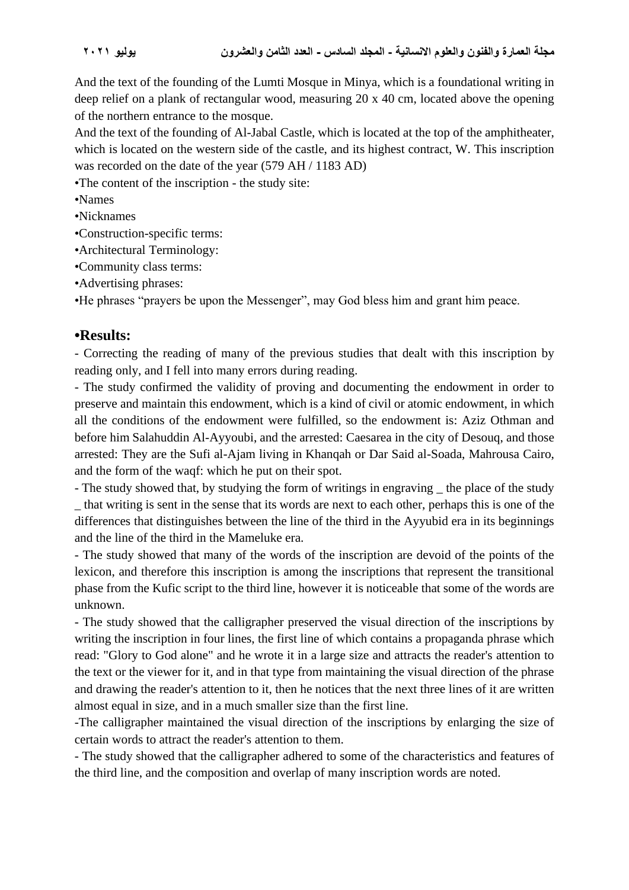And the text of the founding of the Lumti Mosque in Minya, which is a foundational writing in deep relief on a plank of rectangular wood, measuring 20 x 40 cm, located above the opening of the northern entrance to the mosque.

And the text of the founding of Al-Jabal Castle, which is located at the top of the amphitheater, which is located on the western side of the castle, and its highest contract, W. This inscription was recorded on the date of the year (579 AH / 1183 AD)

•The content of the inscription - the study site:

- •Names
- •Nicknames
- •Construction-specific terms:
- •Architectural Terminology:
- •Community class terms:
- •Advertising phrases:

•He phrases "prayers be upon the Messenger", may God bless him and grant him peace.

### **•Results:**

- Correcting the reading of many of the previous studies that dealt with this inscription by reading only, and I fell into many errors during reading.

- The study confirmed the validity of proving and documenting the endowment in order to preserve and maintain this endowment, which is a kind of civil or atomic endowment, in which all the conditions of the endowment were fulfilled, so the endowment is: Aziz Othman and before him Salahuddin Al-Ayyoubi, and the arrested: Caesarea in the city of Desouq, and those arrested: They are the Sufi al-Ajam living in Khanqah or Dar Said al-Soada, Mahrousa Cairo, and the form of the waqf: which he put on their spot.

- The study showed that, by studying the form of writings in engraving  $\Box$  the place of the study \_ that writing is sent in the sense that its words are next to each other, perhaps this is one of the differences that distinguishes between the line of the third in the Ayyubid era in its beginnings and the line of the third in the Mameluke era.

- The study showed that many of the words of the inscription are devoid of the points of the lexicon, and therefore this inscription is among the inscriptions that represent the transitional phase from the Kufic script to the third line, however it is noticeable that some of the words are unknown.

- The study showed that the calligrapher preserved the visual direction of the inscriptions by writing the inscription in four lines, the first line of which contains a propaganda phrase which read: "Glory to God alone" and he wrote it in a large size and attracts the reader's attention to the text or the viewer for it, and in that type from maintaining the visual direction of the phrase and drawing the reader's attention to it, then he notices that the next three lines of it are written almost equal in size, and in a much smaller size than the first line.

-The calligrapher maintained the visual direction of the inscriptions by enlarging the size of certain words to attract the reader's attention to them.

- The study showed that the calligrapher adhered to some of the characteristics and features of the third line, and the composition and overlap of many inscription words are noted.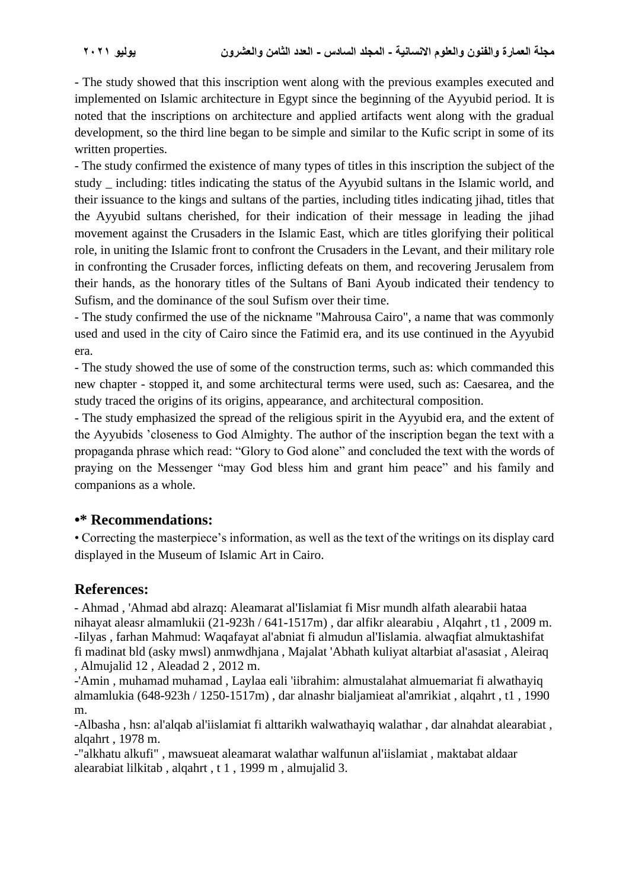- The study showed that this inscription went along with the previous examples executed and implemented on Islamic architecture in Egypt since the beginning of the Ayyubid period. It is noted that the inscriptions on architecture and applied artifacts went along with the gradual development, so the third line began to be simple and similar to the Kufic script in some of its written properties.

- The study confirmed the existence of many types of titles in this inscription the subject of the study \_ including: titles indicating the status of the Ayyubid sultans in the Islamic world, and their issuance to the kings and sultans of the parties, including titles indicating jihad, titles that the Ayyubid sultans cherished, for their indication of their message in leading the jihad movement against the Crusaders in the Islamic East, which are titles glorifying their political role, in uniting the Islamic front to confront the Crusaders in the Levant, and their military role in confronting the Crusader forces, inflicting defeats on them, and recovering Jerusalem from their hands, as the honorary titles of the Sultans of Bani Ayoub indicated their tendency to Sufism, and the dominance of the soul Sufism over their time.

- The study confirmed the use of the nickname "Mahrousa Cairo", a name that was commonly used and used in the city of Cairo since the Fatimid era, and its use continued in the Ayyubid era.

- The study showed the use of some of the construction terms, such as: which commanded this new chapter - stopped it, and some architectural terms were used, such as: Caesarea, and the study traced the origins of its origins, appearance, and architectural composition.

- The study emphasized the spread of the religious spirit in the Ayyubid era, and the extent of the Ayyubids 'closeness to God Almighty. The author of the inscription began the text with a propaganda phrase which read: "Glory to God alone" and concluded the text with the words of praying on the Messenger "may God bless him and grant him peace" and his family and companions as a whole.

### **•\* Recommendations:**

• Correcting the masterpiece's information, as well as the text of the writings on its display card displayed in the Museum of Islamic Art in Cairo.

# **References:**

- Ahmad , 'Ahmad abd alrazq: Aleamarat al'Iislamiat fi Misr mundh alfath alearabii hataa nihayat aleasr almamlukii (21-923h / 641-1517m) , dar alfikr alearabiu , Alqahrt , t1 , 2009 m. -Iilyas , farhan Mahmud: Waqafayat al'abniat fi almudun al'Iislamia. alwaqfiat almuktashifat fi madinat bld (asky mwsl) anmwdhjana , Majalat 'Abhath kuliyat altarbiat al'asasiat , Aleiraq , Almujalid 12 , Aleadad 2 , 2012 m.

-'Amin , muhamad muhamad , Laylaa eali 'iibrahim: almustalahat almuemariat fi alwathayiq almamlukia (648-923h / 1250-1517m) , dar alnashr bialjamieat al'amrikiat , alqahrt , t1 , 1990 m.

-Albasha , hsn: al'alqab al'iislamiat fi alttarikh walwathayiq walathar , dar alnahdat alearabiat , alqahrt , 1978 m.

-"alkhatu alkufi" , mawsueat aleamarat walathar walfunun al'iislamiat , maktabat aldaar alearabiat lilkitab , alqahrt , t 1 , 1999 m , almujalid 3.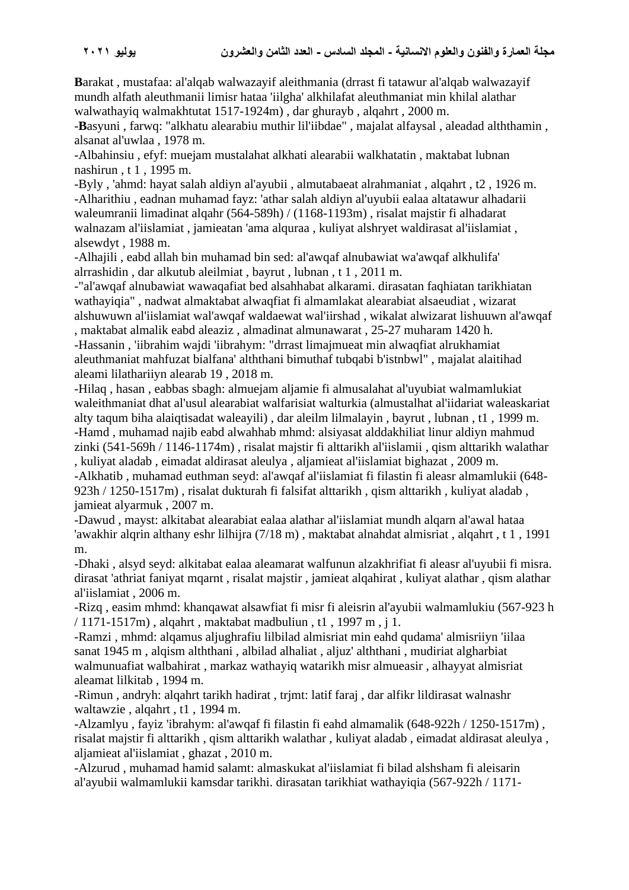**B**arakat , mustafaa: al'alqab walwazayif aleithmania (drrast fi tatawur al'alqab walwazayif mundh alfath aleuthmanii limisr hataa 'iilgha' alkhilafat aleuthmaniat min khilal alathar walwathayiq walmakhtutat 1517-1924m) , dar ghurayb , alqahrt , 2000 m.

-**B**asyuni , farwq: "alkhatu alearabiu muthir lil'iibdae" , majalat alfaysal , aleadad alththamin , alsanat al'uwlaa , 1978 m.

-Albahinsiu , efyf: muejam mustalahat alkhati alearabii walkhatatin , maktabat lubnan nashirun , t 1 , 1995 m.

-Byly , 'ahmd: hayat salah aldiyn al'ayubii , almutabaeat alrahmaniat , alqahrt , t2 , 1926 m. -Alharithiu , eadnan muhamad fayz: 'athar salah aldiyn al'uyubii ealaa altatawur alhadarii waleumranii limadinat alqahr (564-589h) / (1168-1193m) , risalat majstir fi alhadarat walnazam al'iislamiat , jamieatan 'ama alquraa , kuliyat alshryet waldirasat al'iislamiat , alsewdyt , 1988 m.

-Alhajili , eabd allah bin muhamad bin sed: al'awqaf alnubawiat wa'awqaf alkhulifa' alrrashidin , dar alkutub aleilmiat , bayrut , lubnan , t 1 , 2011 m.

-"al'awqaf alnubawiat wawaqafiat bed alsahhabat alkarami. dirasatan faqhiatan tarikhiatan wathayiqia" , nadwat almaktabat alwaqfiat fi almamlakat alearabiat alsaeudiat , wizarat alshuwuwn al'iislamiat wal'awqaf waldaewat wal'iirshad , wikalat alwizarat lishuuwn al'awqaf , maktabat almalik eabd aleaziz , almadinat almunawarat , 25-27 muharam 1420 h.

-Hassanin , 'iibrahim wajdi 'iibrahym: "drrast limajmueat min alwaqfiat alrukhamiat aleuthmaniat mahfuzat bialfana' alththani bimuthaf tubqabi b'istnbwl" , majalat alaitihad aleami lilathariiyn alearab 19 , 2018 m.

-Hilaq , hasan , eabbas sbagh: almuejam aljamie fi almusalahat al'uyubiat walmamlukiat waleithmaniat dhat al'usul alearabiat walfarisiat walturkia (almustalhat al'iidariat waleaskariat alty taqum biha alaiqtisadat waleayili) , dar aleilm lilmalayin , bayrut , lubnan , t1 , 1999 m. -Hamd , muhamad najib eabd alwahhab mhmd: alsiyasat alddakhiliat linur aldiyn mahmud zinki (541-569h / 1146-1174m) , risalat majstir fi alttarikh al'iislamii , qism alttarikh walathar , kuliyat aladab , eimadat aldirasat aleulya , aljamieat al'iislamiat bighazat , 2009 m.

-Alkhatib , muhamad euthman seyd: al'awqaf al'iislamiat fi filastin fi aleasr almamlukii (648- 923h / 1250-1517m) , risalat dukturah fi falsifat alttarikh , qism alttarikh , kuliyat aladab , jamieat alyarmuk , 2007 m.

-Dawud , mayst: alkitabat alearabiat ealaa alathar al'iislamiat mundh alqarn al'awal hataa 'awakhir alqrin althany eshr lilhijra (7/18 m) , maktabat alnahdat almisriat , alqahrt , t 1 , 1991 m.

-Dhaki , alsyd seyd: alkitabat ealaa aleamarat walfunun alzakhrifiat fi aleasr al'uyubii fi misra. dirasat 'athriat faniyat mqarnt , risalat majstir , jamieat alqahirat , kuliyat alathar , qism alathar al'iislamiat , 2006 m.

-Rizq , easim mhmd: khanqawat alsawfiat fi misr fi aleisrin al'ayubii walmamlukiu (567-923 h / 1171-1517m) , alqahrt , maktabat madbuliun , t1 , 1997 m , j 1.

-Ramzi , mhmd: alqamus aljughrafiu lilbilad almisriat min eahd qudama' almisriiyn 'iilaa sanat 1945 m , alqism alththani , albilad alhaliat , aljuz' alththani , mudiriat algharbiat walmunuafiat walbahirat , markaz wathayiq watarikh misr almueasir , alhayyat almisriat aleamat lilkitab , 1994 m.

-Rimun , andryh: alqahrt tarikh hadirat , trjmt: latif faraj , dar alfikr lildirasat walnashr waltawzie , alqahrt , t1 , 1994 m.

-Alzamlyu , fayiz 'ibrahym: al'awqaf fi filastin fi eahd almamalik (648-922h / 1250-1517m) , risalat majstir fi alttarikh , qism alttarikh walathar , kuliyat aladab , eimadat aldirasat aleulya , aljamieat al'iislamiat , ghazat , 2010 m.

-Alzurud , muhamad hamid salamt: almaskukat al'iislamiat fi bilad alshsham fi aleisarin al'ayubii walmamlukii kamsdar tarikhi. dirasatan tarikhiat wathayiqia (567-922h / 1171-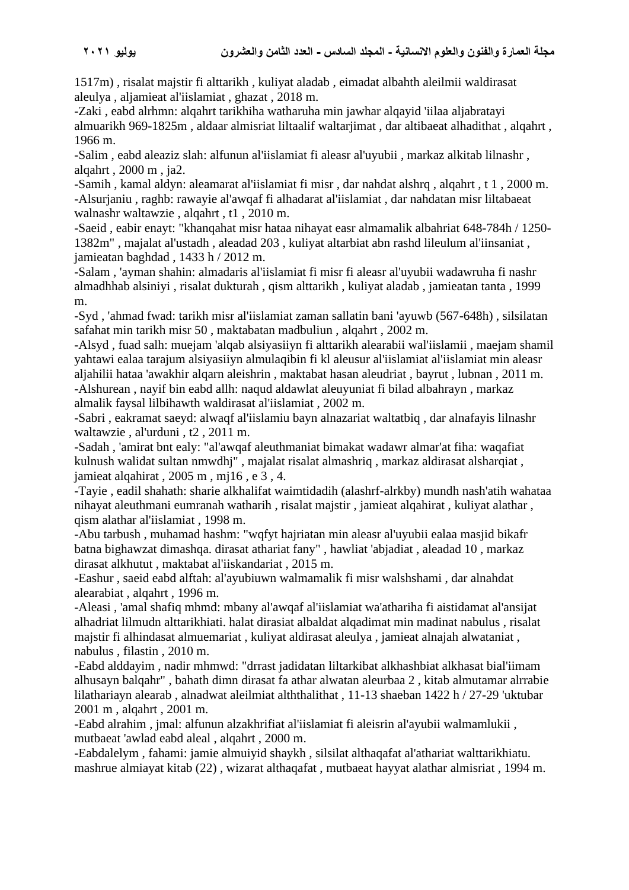1517m) , risalat majstir fi alttarikh , kuliyat aladab , eimadat albahth aleilmii waldirasat aleulya , aljamieat al'iislamiat , ghazat , 2018 m.

-Zaki , eabd alrhmn: alqahrt tarikhiha watharuha min jawhar alqayid 'iilaa aljabratayi almuarikh 969-1825m , aldaar almisriat liltaalif waltarjimat , dar altibaeat alhadithat , alqahrt , 1966 m.

-Salim , eabd aleaziz slah: alfunun al'iislamiat fi aleasr al'uyubii , markaz alkitab lilnashr , alqahrt , 2000 m , ja2.

-Samih , kamal aldyn: aleamarat al'iislamiat fi misr , dar nahdat alshrq , alqahrt , t 1 , 2000 m. -Alsurjaniu , raghb: rawayie al'awqaf fi alhadarat al'iislamiat , dar nahdatan misr liltabaeat walnashr waltawzie , alqahrt , t1 , 2010 m.

-Saeid , eabir enayt: "khanqahat misr hataa nihayat easr almamalik albahriat 648-784h / 1250- 1382m" , majalat al'ustadh , aleadad 203 , kuliyat altarbiat abn rashd lileulum al'iinsaniat , jamieatan baghdad , 1433 h / 2012 m.

-Salam , 'ayman shahin: almadaris al'iislamiat fi misr fi aleasr al'uyubii wadawruha fi nashr almadhhab alsiniyi , risalat dukturah , qism alttarikh , kuliyat aladab , jamieatan tanta , 1999 m.

-Syd , 'ahmad fwad: tarikh misr al'iislamiat zaman sallatin bani 'ayuwb (567-648h) , silsilatan safahat min tarikh misr 50 , maktabatan madbuliun , alqahrt , 2002 m.

-Alsyd , fuad salh: muejam 'alqab alsiyasiiyn fi alttarikh alearabii wal'iislamii , maejam shamil yahtawi ealaa tarajum alsiyasiiyn almulaqibin fi kl aleusur al'iislamiat al'iislamiat min aleasr aljahilii hataa 'awakhir alqarn aleishrin , maktabat hasan aleudriat , bayrut , lubnan , 2011 m. -Alshurean , nayif bin eabd allh: naqud aldawlat aleuyuniat fi bilad albahrayn , markaz almalik faysal lilbihawth waldirasat al'iislamiat , 2002 m.

-Sabri , eakramat saeyd: alwaqf al'iislamiu bayn alnazariat waltatbiq , dar alnafayis lilnashr waltawzie , al'urduni , t2 , 2011 m.

-Sadah , 'amirat bnt ealy: "al'awqaf aleuthmaniat bimakat wadawr almar'at fiha: waqafiat kulnush walidat sultan nmwdhj" , majalat risalat almashriq , markaz aldirasat alsharqiat , jamieat alqahirat , 2005 m , mj16 , e 3 , 4.

-Tayie , eadil shahath: sharie alkhalifat waimtidadih (alashrf-alrkby) mundh nash'atih wahataa nihayat aleuthmani eumranah watharih , risalat majstir , jamieat alqahirat , kuliyat alathar , qism alathar al'iislamiat , 1998 m.

-Abu tarbush , muhamad hashm: "wqfyt hajriatan min aleasr al'uyubii ealaa masjid bikafr batna bighawzat dimashqa. dirasat athariat fany" , hawliat 'abjadiat , aleadad 10 , markaz dirasat alkhutut , maktabat al'iiskandariat , 2015 m.

-Eashur , saeid eabd alftah: al'ayubiuwn walmamalik fi misr walshshami , dar alnahdat alearabiat , alqahrt , 1996 m.

-Aleasi , 'amal shafiq mhmd: mbany al'awqaf al'iislamiat wa'athariha fi aistidamat al'ansijat alhadriat lilmudn alttarikhiati. halat dirasiat albaldat alqadimat min madinat nabulus , risalat majstir fi alhindasat almuemariat , kuliyat aldirasat aleulya , jamieat alnajah alwataniat , nabulus , filastin , 2010 m.

-Eabd alddayim , nadir mhmwd: "drrast jadidatan liltarkibat alkhashbiat alkhasat bial'iimam alhusayn balqahr" , bahath dimn dirasat fa athar alwatan aleurbaa 2 , kitab almutamar alrrabie lilathariayn alearab , alnadwat aleilmiat alththalithat , 11-13 shaeban 1422 h / 27-29 'uktubar 2001 m , alqahrt , 2001 m.

-Eabd alrahim , jmal: alfunun alzakhrifiat al'iislamiat fi aleisrin al'ayubii walmamlukii , mutbaeat 'awlad eabd aleal , alqahrt , 2000 m.

-Eabdalelym , fahami: jamie almuiyid shaykh , silsilat althaqafat al'athariat walttarikhiatu. mashrue almiayat kitab (22) , wizarat althaqafat , mutbaeat hayyat alathar almisriat , 1994 m.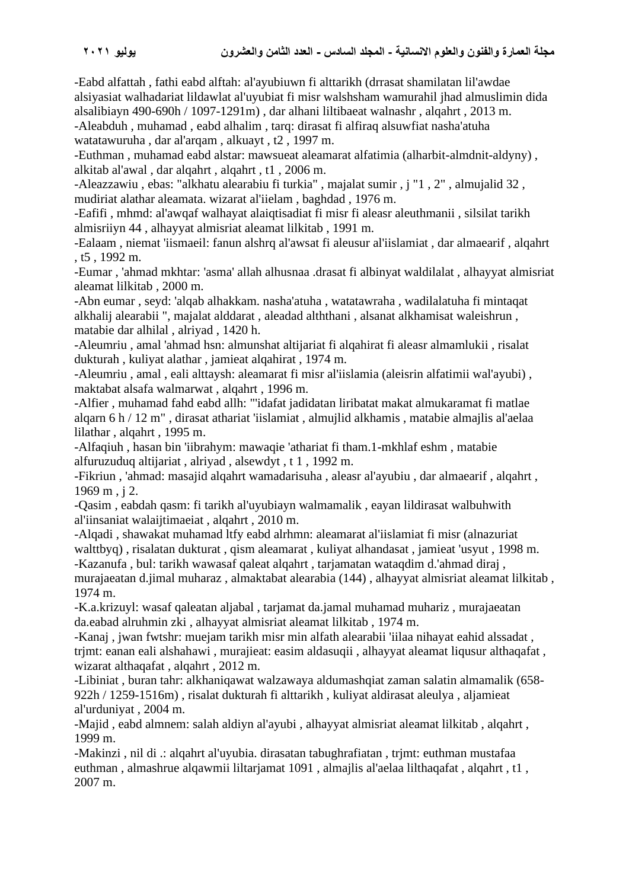-Eabd alfattah , fathi eabd alftah: al'ayubiuwn fi alttarikh (drrasat shamilatan lil'awdae alsiyasiat walhadariat lildawlat al'uyubiat fi misr walshsham wamurahil jhad almuslimin dida alsalibiayn 490-690h / 1097-1291m) , dar alhani liltibaeat walnashr , alqahrt , 2013 m. -Aleabduh , muhamad , eabd alhalim , tarq: dirasat fi alfiraq alsuwfiat nasha'atuha watatawuruha , dar al'arqam , alkuayt , t2 , 1997 m.

-Euthman , muhamad eabd alstar: mawsueat aleamarat alfatimia (alharbit-almdnit-aldyny) , alkitab al'awal , dar alqahrt , alqahrt , t1 , 2006 m.

-Aleazzawiu , ebas: "alkhatu alearabiu fi turkia" , majalat sumir , j "1 , 2" , almujalid 32 , mudiriat alathar aleamata. wizarat al'iielam , baghdad , 1976 m.

-Eafifi , mhmd: al'awqaf walhayat alaiqtisadiat fi misr fi aleasr aleuthmanii , silsilat tarikh almisriiyn 44 , alhayyat almisriat aleamat lilkitab , 1991 m.

-Ealaam , niemat 'iismaeil: fanun alshrq al'awsat fi aleusur al'iislamiat , dar almaearif , alqahrt , t5 , 1992 m.

-Eumar , 'ahmad mkhtar: 'asma' allah alhusnaa .drasat fi albinyat waldilalat , alhayyat almisriat aleamat lilkitab , 2000 m.

-Abn eumar , seyd: 'alqab alhakkam. nasha'atuha , watatawraha , wadilalatuha fi mintaqat alkhalij alearabii ", majalat alddarat , aleadad alththani , alsanat alkhamisat waleishrun , matabie dar alhilal , alriyad , 1420 h.

-Aleumriu , amal 'ahmad hsn: almunshat altijariat fi alqahirat fi aleasr almamlukii , risalat dukturah , kuliyat alathar , jamieat alqahirat , 1974 m.

-Aleumriu , amal , eali alttaysh: aleamarat fi misr al'iislamia (aleisrin alfatimii wal'ayubi) , maktabat alsafa walmarwat , alqahrt , 1996 m.

-Alfier , muhamad fahd eabd allh: "'idafat jadidatan liribatat makat almukaramat fi matlae alqarn 6 h / 12 m" , dirasat athariat 'iislamiat , almujlid alkhamis , matabie almajlis al'aelaa lilathar , alqahrt , 1995 m.

-Alfaqiuh , hasan bin 'iibrahym: mawaqie 'athariat fi tham.1-mkhlaf eshm , matabie alfuruzuduq altijariat , alriyad , alsewdyt , t 1 , 1992 m.

-Fikriun , 'ahmad: masajid alqahrt wamadarisuha , aleasr al'ayubiu , dar almaearif , alqahrt , 1969 m , j 2.

-Qasim , eabdah qasm: fi tarikh al'uyubiayn walmamalik , eayan lildirasat walbuhwith al'iinsaniat walaijtimaeiat , alqahrt , 2010 m.

-Alqadi , shawakat muhamad ltfy eabd alrhmn: aleamarat al'iislamiat fi misr (alnazuriat walttbyq) , risalatan dukturat , qism aleamarat , kuliyat alhandasat , jamieat 'usyut , 1998 m. -Kazanufa , bul: tarikh wawasaf qaleat alqahrt , tarjamatan wataqdim d.'ahmad diraj , murajaeatan d.jimal muharaz , almaktabat alearabia (144) , alhayyat almisriat aleamat lilkitab ,

1974 m.

-K.a.krizuyl: wasaf qaleatan aljabal , tarjamat da.jamal muhamad muhariz , murajaeatan da.eabad alruhmin zki , alhayyat almisriat aleamat lilkitab , 1974 m.

-Kanaj , jwan fwtshr: muejam tarikh misr min alfath alearabii 'iilaa nihayat eahid alssadat , trjmt: eanan eali alshahawi , murajieat: easim aldasuqii , alhayyat aleamat liqusur althaqafat , wizarat althaqafat , alqahrt , 2012 m.

-Libiniat , buran tahr: alkhaniqawat walzawaya aldumashqiat zaman salatin almamalik (658- 922h / 1259-1516m) , risalat dukturah fi alttarikh , kuliyat aldirasat aleulya , aljamieat al'urduniyat , 2004 m.

-Majid , eabd almnem: salah aldiyn al'ayubi , alhayyat almisriat aleamat lilkitab , alqahrt , 1999 m.

-Makinzi , nil di .: alqahrt al'uyubia. dirasatan tabughrafiatan , trjmt: euthman mustafaa euthman , almashrue alqawmii liltarjamat 1091 , almajlis al'aelaa lilthaqafat , alqahrt , t1 , 2007 m.